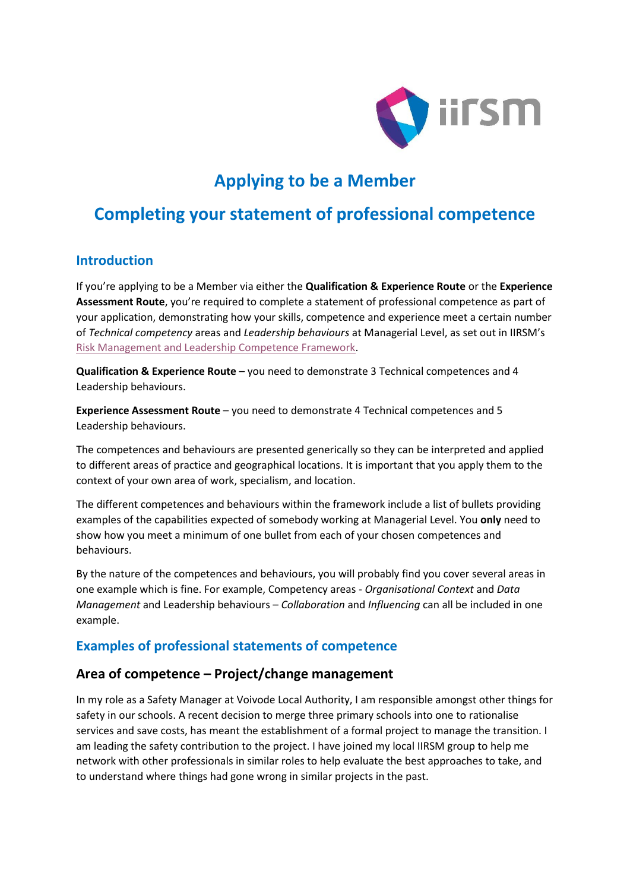

# **Applying to be a Member**

## **Completing your statement of professional competence**

#### **Introduction**

If you're applying to be a Member via either the **Qualification & Experience Route** or the **Experience Assessment Route**, you're required to complete a statement of professional competence as part of your application, demonstrating how your skills, competence and experience meet a certain number of *Technical competency* areas and *Leadership behaviours* at Managerial Level, as set out in IIRSM's [Risk Management and Leadership Competence Framework.](https://www.iirsm.org/risk-management-and-leadership-competence-framework)

**Qualification & Experience Route** – you need to demonstrate 3 Technical competences and 4 Leadership behaviours.

**Experience Assessment Route** – you need to demonstrate 4 Technical competences and 5 Leadership behaviours.

The competences and behaviours are presented generically so they can be interpreted and applied to different areas of practice and geographical locations. It is important that you apply them to the context of your own area of work, specialism, and location.

The different competences and behaviours within the framework include a list of bullets providing examples of the capabilities expected of somebody working at Managerial Level. You **only** need to show how you meet a minimum of one bullet from each of your chosen competences and behaviours.

By the nature of the competences and behaviours, you will probably find you cover several areas in one example which is fine. For example, Competency areas - *Organisational Context* and *Data Management* and Leadership behaviours – *Collaboration* and *Influencing* can all be included in one example.

### **Examples of professional statements of competence**

#### **Area of competence – Project/change management**

In my role as a Safety Manager at Voivode Local Authority, I am responsible amongst other things for safety in our schools. A recent decision to merge three primary schools into one to rationalise services and save costs, has meant the establishment of a formal project to manage the transition. I am leading the safety contribution to the project. I have joined my local IIRSM group to help me network with other professionals in similar roles to help evaluate the best approaches to take, and to understand where things had gone wrong in similar projects in the past.